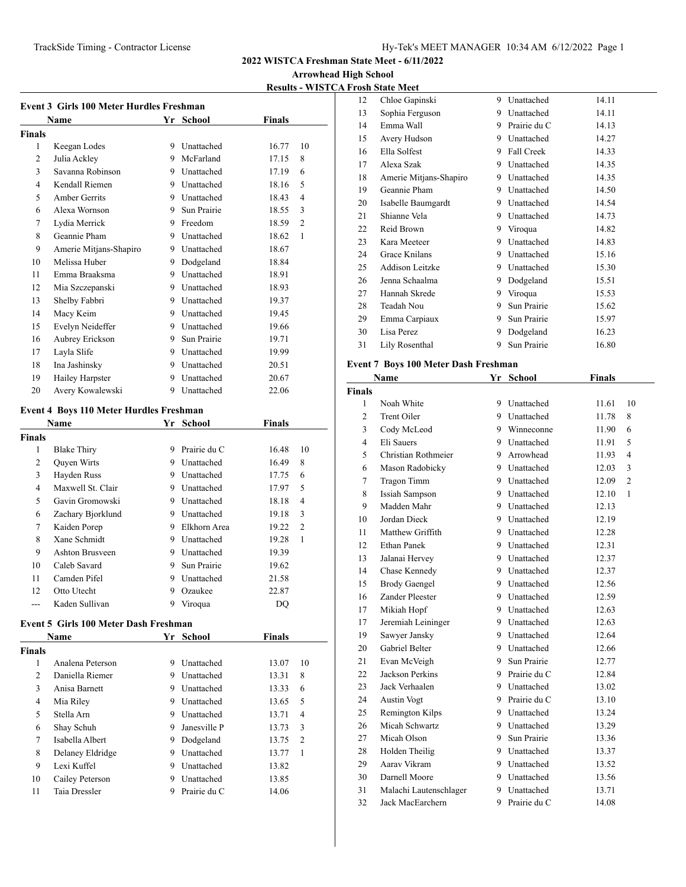**Arrowhead High School**

**Results - WISTCA Frosh State Meet**

|                | Name                   |   | Yr School         | <b>Finals</b> |                |
|----------------|------------------------|---|-------------------|---------------|----------------|
| <b>Finals</b>  |                        |   |                   |               |                |
| 1              | Keegan Lodes           | 9 | Unattached        | 16.77         | 10             |
| 2              | Julia Ackley           | 9 | McFarland         | 17.15         | 8              |
| 3              | Savanna Robinson       | 9 | Unattached        | 17.19         | 6              |
| $\overline{4}$ | Kendall Riemen         | 9 | Unattached        | 18.16         | 5              |
| 5              | Amber Gerrits          | 9 | Unattached        | 18.43         | $\overline{4}$ |
| 6              | Alexa Wornson          | 9 | Sun Prairie       | 18.55         | 3              |
| 7              | Lydia Merrick          | 9 | Freedom           | 18.59         | 2              |
| 8              | Geannie Pham           | 9 | <b>Unattached</b> | 18.62         | 1              |
| 9              | Amerie Mitjans-Shapiro | 9 | Unattached        | 18.67         |                |
| 10             | Melissa Huber          | 9 | Dodgeland         | 18.84         |                |
| 11             | Emma Braaksma          | 9 | Unattached        | 18.91         |                |
| 12             | Mia Szczepanski        | 9 | Unattached        | 18.93         |                |
| 13             | Shelby Fabbri          | 9 | Unattached        | 19.37         |                |
| 14             | Macy Keim              | 9 | <b>Unattached</b> | 19.45         |                |
| 15             | Evelyn Neideffer       | 9 | Unattached        | 19.66         |                |
| 16             | Aubrey Erickson        | 9 | Sun Prairie       | 19.71         |                |
| 17             | Layla Slife            | 9 | Unattached        | 19.99         |                |
| 18             | Ina Jashinsky          | 9 | Unattached        | 20.51         |                |
| 19             | Hailey Harpster        | 9 | Unattached        | 20.67         |                |
| 20             | Avery Kowalewski       | 9 | Unattached        | 22.06         |                |

## **Event 4 Boys 110 Meter Hurdles Freshman**

|        | Name               | Yr. | School       | <b>Finals</b> |                |
|--------|--------------------|-----|--------------|---------------|----------------|
| Finals |                    |     |              |               |                |
| 1      | <b>Blake Thiry</b> | 9   | Prairie du C | 16.48         | 10             |
| 2      | Quyen Wirts        | 9   | Unattached   | 16.49         | 8              |
| 3      | Hayden Russ        | 9   | Unattached   | 17.75         | 6              |
| 4      | Maxwell St. Clair  | 9   | Unattached   | 17.97         | 5              |
| 5      | Gavin Gromowski    | 9   | Unattached   | 18.18         | $\overline{4}$ |
| 6      | Zachary Bjorklund  | 9   | Unattached   | 19.18         | 3              |
| 7      | Kaiden Porep       | 9   | Elkhorn Area | 19.22         | $\overline{2}$ |
| 8      | Xane Schmidt       | 9   | Unattached   | 19.28         | 1              |
| 9      | Ashton Brusveen    | 9   | Unattached   | 19.39         |                |
| 10     | Caleb Savard       | 9   | Sun Prairie  | 19.62         |                |
| 11     | Camden Pifel       | 9   | Unattached   | 21.58         |                |
| 12     | Otto Utecht        | 9   | Ozaukee      | 22.87         |                |
|        | Kaden Sullivan     | 9   | Viroqua      | DO            |                |

#### **Event 5 Girls 100 Meter Dash Freshman**

| <b>Name</b>   |                  | Yr | <b>School</b>     | <b>Finals</b> |                |
|---------------|------------------|----|-------------------|---------------|----------------|
| <b>Finals</b> |                  |    |                   |               |                |
| 1             | Analena Peterson | 9  | Unattached        | 13.07         | 10             |
| 2             | Daniella Riemer  | 9  | <b>Unattached</b> | 13.31         | 8              |
| 3             | Anisa Barnett    | 9  | Unattached        | 13.33         | 6              |
| 4             | Mia Riley        | 9  | Unattached        | 13.65         | 5              |
| 5             | Stella Arn       | 9  | Unattached        | 13.71         | 4              |
| 6             | Shay Schuh       | 9  | Janesville P      | 13.73         | 3              |
| 7             | Isabella Albert  | 9. | Dodgeland         | 13.75         | $\overline{2}$ |
| 8             | Delaney Eldridge | 9  | <b>Unattached</b> | 13.77         | 1              |
| 9             | Lexi Kuffel      | 9  | Unattached        | 13.82         |                |
| 10            | Cailey Peterson  | 9  | Unattached        | 13.85         |                |
| 11            | Taia Dressler    |    | Prairie du C      | 14.06         |                |

| $0.011$ Dence $1.1$ ect |   |              |       |
|-------------------------|---|--------------|-------|
| Chloe Gapinski          | 9 | Unattached   | 14.11 |
| Sophia Ferguson         | 9 | Unattached   | 14.11 |
| Emma Wall               | 9 | Prairie du C | 14.13 |
| Avery Hudson            | 9 | Unattached   | 14.27 |
| Ella Solfest            | 9 | Fall Creek   | 14.33 |
| Alexa Szak              | 9 | Unattached   | 14.35 |
| Amerie Mitjans-Shapiro  | 9 | Unattached   | 14.35 |
| Geannie Pham            | 9 | Unattached   | 14.50 |
| Isabelle Baumgardt      | 9 | Unattached   | 14.54 |
| Shianne Vela            | 9 | Unattached   | 14.73 |
| Reid Brown              | 9 | Viroqua      | 14.82 |
| Kara Meeteer            | 9 | Unattached   | 14.83 |
| Grace Knilans           | 9 | Unattached   | 15.16 |
| Addison Leitzke         | 9 | Unattached   | 15.30 |
| Jenna Schaalma          | 9 | Dodgeland    | 15.51 |
| Hannah Skrede           | 9 | Viroqua      | 15.53 |
| Teadah Nou              | 9 | Sun Prairie  | 15.62 |
| Emma Carpiaux           | 9 | Sun Prairie  | 15.97 |
| Lisa Perez              | 9 | Dodgeland    | 16.23 |
| Lily Rosenthal          | 9 | Sun Prairie  | 16.80 |
|                         |   |              |       |

## **Event 7 Boys 100 Meter Dash Freshman**

| Name           |                        | Yr | <b>School</b>  | <b>Finals</b> |                |
|----------------|------------------------|----|----------------|---------------|----------------|
| <b>Finals</b>  |                        |    |                |               |                |
| 1              | Noah White             |    | 9 Unattached   | 11.61         | 10             |
| $\overline{c}$ | Trent Oiler            |    | 9 Unattached   | 11.78         | 8              |
| 3              | Cody McLeod            |    | 9 Winneconne   | 11.90         | 6              |
| 4              | Eli Sauers             |    | 9 Unattached   | 11.91         | 5              |
| 5              | Christian Rothmeier    |    | 9 Arrowhead    | 11.93         | 4              |
| 6              | Mason Radobicky        |    | 9 Unattached   | 12.03         | 3              |
| 7              | Tragon Timm            |    | 9 Unattached   | 12.09         | $\overline{2}$ |
| 8              | <b>Issiah Sampson</b>  |    | 9 Unattached   | 12.10         | $\mathbf{1}$   |
| 9              | Madden Mahr            |    | 9 Unattached   | 12.13         |                |
| 10             | Jordan Dieck           |    | 9 Unattached   | 12.19         |                |
| 11             | Matthew Griffith       |    | 9 Unattached   | 12.28         |                |
| 12             | <b>Ethan Panek</b>     |    | 9 Unattached   | 12.31         |                |
| 13             | Jalanai Hervey         |    | 9 Unattached   | 12.37         |                |
| 14             | Chase Kennedy          |    | 9 Unattached   | 12.37         |                |
| 15             | <b>Brody Gaengel</b>   |    | 9 Unattached   | 12.56         |                |
| 16             | Zander Pleester        |    | 9 Unattached   | 12.59         |                |
| 17             | Mikiah Hopf            |    | 9 Unattached   | 12.63         |                |
| 17             | Jeremiah Leininger     |    | 9 Unattached   | 12.63         |                |
| 19             | Sawyer Jansky          |    | 9 Unattached   | 12.64         |                |
| 20             | Gabriel Belter         |    | 9 Unattached   | 12.66         |                |
| 21             | Evan McVeigh           |    | 9 Sun Prairie  | 12.77         |                |
| 22             | Jackson Perkins        |    | 9 Prairie du C | 12.84         |                |
| 23             | Jack Verhaalen         |    | 9 Unattached   | 13.02         |                |
| 24             | <b>Austin Vogt</b>     |    | 9 Prairie du C | 13.10         |                |
| 25             | Remington Kilps        |    | 9 Unattached   | 13.24         |                |
| 26             | Micah Schwartz         |    | 9 Unattached   | 13.29         |                |
| 27             | Micah Olson            |    | 9 Sun Prairie  | 13.36         |                |
| 28             | Holden Theilig         |    | 9 Unattached   | 13.37         |                |
| 29             | Aarav Vikram           |    | 9 Unattached   | 13.52         |                |
| 30             | Darnell Moore          |    | 9 Unattached   | 13.56         |                |
| 31             | Malachi Lautenschlager |    | 9 Unattached   | 13.71         |                |
| 32             | Jack MacEarchern       | 9  | Prairie du C   | 14.08         |                |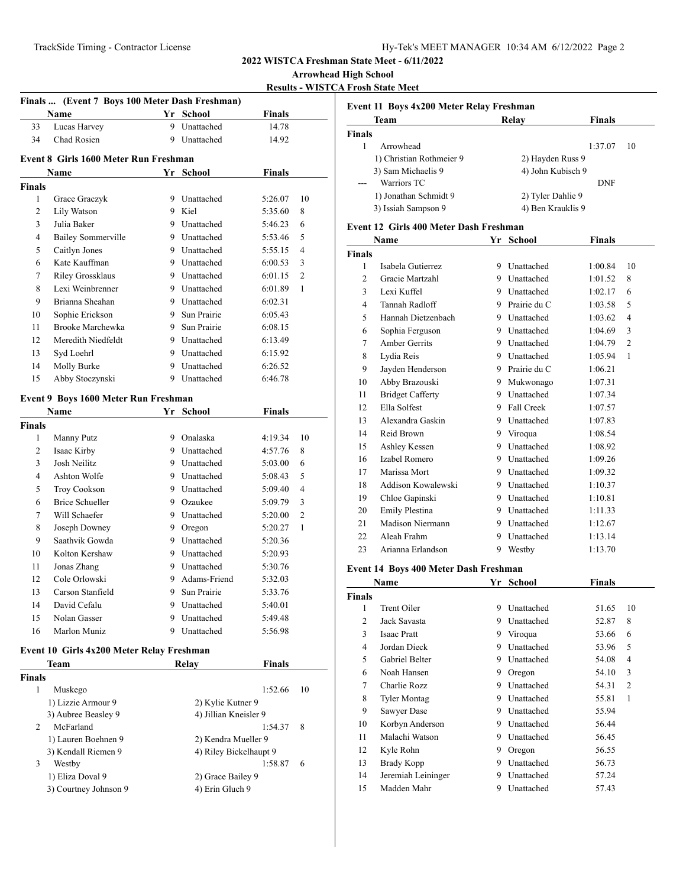**Finals ... (Event 7 Boys 100 Meter Dash Freshman)**

**2022 WISTCA Freshman State Meet - 6/11/2022**

**Arrowhead High School**

**Results - WISTCA Frosh State Meet**

|                                      | Name                                      |        | Yr School                | <b>Finals</b>      |                |  |
|--------------------------------------|-------------------------------------------|--------|--------------------------|--------------------|----------------|--|
| 33                                   | Lucas Harvey                              | 9      | Unattached               | 14.78              |                |  |
| 34                                   | Chad Rosien                               |        | 9 Unattached             | 14.92              |                |  |
|                                      | Event 8 Girls 1600 Meter Run Freshman     |        |                          |                    |                |  |
|                                      | Name                                      |        | Yr School                | <b>Finals</b>      |                |  |
| <b>Finals</b>                        |                                           |        |                          |                    |                |  |
| 1                                    | Grace Graczyk                             |        | 9 Unattached             | 5:26.07            | 10             |  |
| 2                                    | Lily Watson                               |        | 9 Kiel                   | 5:35.60            | 8              |  |
| 3                                    | Julia Baker                               |        | 9 Unattached             | 5:46.23            | 6              |  |
| 4                                    | <b>Bailey Sommerville</b>                 |        | 9 Unattached             | 5:53.46            | 5              |  |
| 5                                    | Caitlyn Jones                             |        | 9 Unattached             | 5:55.15            | 4              |  |
| 6                                    | Kate Kauffman                             |        | 9 Unattached             | 6:00.53            | 3              |  |
| 7                                    | Riley Grossklaus                          |        | 9 Unattached             | 6:01.15            | 2              |  |
| 8                                    | Lexi Weinbrenner                          |        | 9 Unattached             | 6:01.89            | 1              |  |
| 9                                    | Brianna Sheahan                           |        | 9 Unattached             | 6:02.31            |                |  |
| 10                                   | Sophie Erickson                           |        | 9 Sun Prairie            | 6:05.43            |                |  |
| 11                                   | Brooke Marchewka                          |        | 9 Sun Prairie            | 6:08.15            |                |  |
| 12                                   | Meredith Niedfeldt                        |        | 9 Unattached             | 6:13.49            |                |  |
| 13                                   | Syd Loehrl                                |        | 9 Unattached             | 6:15.92            |                |  |
| 14                                   | Molly Burke                               |        | 9 Unattached             | 6:26.52            |                |  |
| 15                                   | Abby Stoczynski                           |        | 9 Unattached             | 6:46.78            |                |  |
|                                      |                                           |        |                          |                    |                |  |
| Event 9 Boys 1600 Meter Run Freshman |                                           |        |                          |                    |                |  |
|                                      | <b>Name</b>                               |        | Yr School                | <b>Finals</b>      |                |  |
| <b>Finals</b><br>1                   |                                           |        | 9 Onalaska               |                    | 10             |  |
| 2                                    | Manny Putz<br>Isaac Kirby                 |        | 9 Unattached             | 4:19.34            | 8              |  |
|                                      |                                           |        |                          | 4:57.76            |                |  |
| 3<br>4                               | Josh Neilitz                              |        | 9 Unattached             | 5:03.00            | 6              |  |
|                                      | Ashton Wolfe                              |        | 9 Unattached             | 5:08.43            | 5              |  |
| 5                                    | Troy Cookson                              |        | 9 Unattached             | 5:09.40            | $\overline{4}$ |  |
| 6                                    | <b>Brice Schueller</b>                    |        | 9 Ozaukee                | 5:09.79            | 3              |  |
| 7                                    | Will Schaefer                             |        | 9 Unattached             | 5:20.00            | 2              |  |
| 8                                    | Joseph Downey                             |        | 9 Oregon                 | 5:20.27            | 1              |  |
| 9                                    | Saathvik Gowda                            |        | 9 Unattached             | 5:20.36            |                |  |
| 10                                   | Kolton Kershaw                            | 9      | Unattached               | 5:20.93            |                |  |
| 11                                   | Jonas Zhang                               | 9.     | Unattached               | 5:30.76            |                |  |
| 12                                   | Cole Orlowski                             | 9      | Adams-Friend             | 5:32.03            |                |  |
| 13                                   | Carson Stanfield                          | 9      | Sun Prairie              | 5:33.76            |                |  |
| 14                                   | David Cefalu<br>Nolan Gasser              | 9      | Unattached               | 5:40.01            |                |  |
| 15<br>16                             | Marlon Muniz                              | 9<br>9 | Unattached<br>Unattached | 5:49.48<br>5:56.98 |                |  |
|                                      |                                           |        |                          |                    |                |  |
|                                      | Event 10 Girls 4x200 Meter Relay Freshman |        |                          |                    |                |  |
|                                      | Team                                      |        | Relay                    | <b>Finals</b>      |                |  |
| <b>Finals</b>                        |                                           |        |                          |                    |                |  |
| 1                                    | Muskego                                   |        |                          | 1:52.66            | 10             |  |
|                                      | 1) Lizzie Armour 9                        |        | 2) Kylie Kutner 9        |                    |                |  |
|                                      | 3) Aubree Beasley 9                       |        | 4) Jillian Kneisler 9    |                    |                |  |
| 2                                    | McFarland                                 |        |                          | 1:54.37            | 8              |  |
|                                      | 1) Lauren Boehnen 9                       |        | 2) Kendra Mueller 9      |                    |                |  |
|                                      | 3) Kendall Riemen 9                       |        | 4) Riley Bickelhaupt 9   |                    |                |  |
| 3                                    | Westby                                    |        |                          | 1:58.87            | 6              |  |
|                                      | 1) Eliza Doval 9                          |        | 2) Grace Bailey 9        |                    |                |  |
|                                      | 3) Courtney Johnson 9                     |        | 4) Erin Gluch 9          |                    |                |  |
|                                      |                                           |        |                          |                    |                |  |

| Event 11 Boys 4x200 Meter Relay Freshman |                   |               |  |  |  |
|------------------------------------------|-------------------|---------------|--|--|--|
| Team                                     | Relay             | <b>Finals</b> |  |  |  |
| Finals                                   |                   |               |  |  |  |
| Arrowhead                                |                   | 1:37.07<br>10 |  |  |  |
| 1) Christian Rothmeier 9                 | 2) Hayden Russ 9  |               |  |  |  |
| 3) Sam Michaelis 9                       | 4) John Kubisch 9 |               |  |  |  |
| Warriors TC                              |                   | <b>DNF</b>    |  |  |  |
| 1) Jonathan Schmidt 9                    | 2) Tyler Dahlie 9 |               |  |  |  |
| 3) Issiah Sampson 9                      | 4) Ben Krauklis 9 |               |  |  |  |

#### **Event 12 Girls 400 Meter Dash Freshman**

|                | Name                    |    | Yr School    | Finals  |                |
|----------------|-------------------------|----|--------------|---------|----------------|
| <b>Finals</b>  |                         |    |              |         |                |
| 1              | Isabela Gutierrez       | 9  | Unattached   | 1:00.84 | 10             |
| $\overline{c}$ | Gracie Martzahl         | 9  | Unattached   | 1:01.52 | 8              |
| 3              | Lexi Kuffel             | 9  | Unattached   | 1:02.17 | 6              |
| 4              | Tannah Radloff          | 9  | Prairie du C | 1:03.58 | 5              |
| 5              | Hannah Dietzenbach      | 9. | Unattached   | 1:03.62 | 4              |
| 6              | Sophia Ferguson         | 9  | Unattached   | 1:04.69 | 3              |
| 7              | Amber Gerrits           | 9. | Unattached   | 1:04.79 | $\overline{2}$ |
| 8              | Lydia Reis              | 9  | Unattached   | 1:05.94 | 1              |
| 9              | Jayden Henderson        | 9. | Prairie du C | 1:06.21 |                |
| 10             | Abby Brazouski          | 9  | Mukwonago    | 1:07.31 |                |
| 11             | <b>Bridget Cafferty</b> | 9. | Unattached   | 1:07.34 |                |
| 12             | Ella Solfest            | 9  | Fall Creek   | 1:07.57 |                |
| 13             | Alexandra Gaskin        |    | 9 Unattached | 1:07.83 |                |
| 14             | Reid Brown              | 9. | Viroqua      | 1:08.54 |                |
| 15             | Ashley Kessen           | 9  | Unattached   | 1:08.92 |                |
| 16             | Izabel Romero           | 9  | Unattached   | 1:09.26 |                |
| 17             | Marissa Mort            | 9  | Unattached   | 1:09.32 |                |
| 18             | Addison Kowalewski      | 9  | Unattached   | 1:10.37 |                |
| 19             | Chloe Gapinski          | 9. | Unattached   | 1:10.81 |                |
| 20             | <b>Emily Plestina</b>   | 9. | Unattached   | 1:11.33 |                |
| 21             | Madison Niermann        | 9. | Unattached   | 1:12.67 |                |
| 22             | Aleah Frahm             | 9  | Unattached   | 1:13.14 |                |
| 23             | Arianna Erlandson       | 9  | Westby       | 1:13.70 |                |
|                |                         |    |              |         |                |

## **Event 14 Boys 400 Meter Dash Freshman**

| Name          |                       | Yr | School     | Finals |                |
|---------------|-----------------------|----|------------|--------|----------------|
| <b>Finals</b> |                       |    |            |        |                |
| 1             | Trent Oiler           | 9  | Unattached | 51.65  | 10             |
| 2             | Jack Savasta          | 9  | Unattached | 52.87  | 8              |
| 3             | <b>Isaac Pratt</b>    | 9  | Viroqua    | 53.66  | 6              |
| 4             | Jordan Dieck          | 9  | Unattached | 53.96  | 5              |
| 5             | <b>Gabriel Belter</b> | 9  | Unattached | 54.08  | 4              |
| 6             | Noah Hansen           | 9  | Oregon     | 54.10  | 3              |
| 7             | Charlie Rozz          | 9  | Unattached | 54.31  | $\overline{c}$ |
| 8             | Tyler Montag          | 9  | Unattached | 55.81  | 1              |
| 9             | Sawyer Dase           | 9  | Unattached | 55.94  |                |
| 10            | Korbyn Anderson       | 9  | Unattached | 56.44  |                |
| 11            | Malachi Watson        | 9  | Unattached | 56.45  |                |
| 12            | Kyle Rohn             | 9  | Oregon     | 56.55  |                |
| 13            | Brady Kopp            | 9  | Unattached | 56.73  |                |
| 14            | Jeremiah Leininger    | 9  | Unattached | 57.24  |                |
| 15            | Madden Mahr           | 9  | Unattached | 57.43  |                |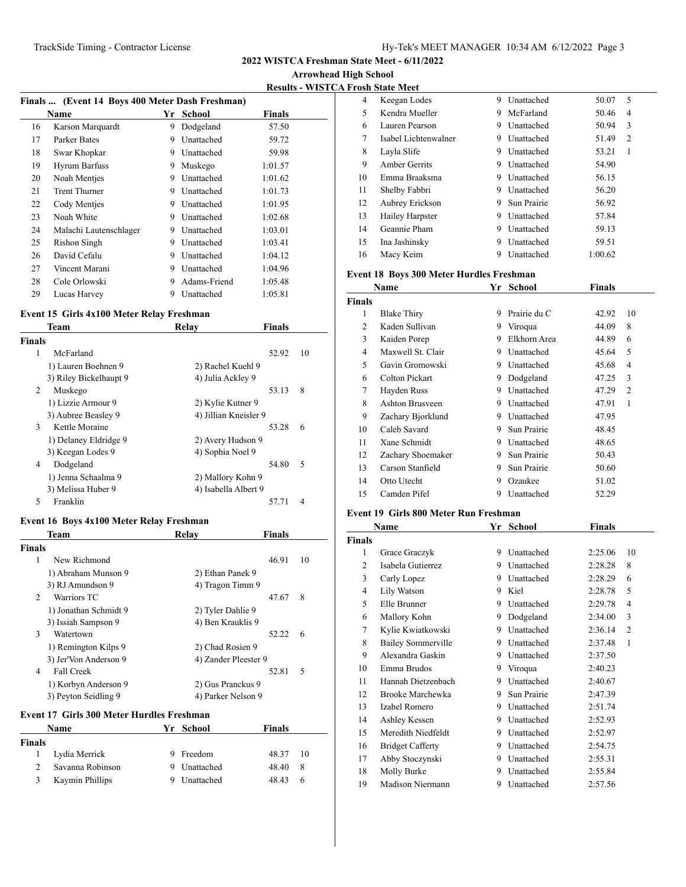**2022 WISTCA Freshman State Meet - 6/11/2022**

**Arrowhead High School**

**Results - WISTCA Frosh State Meet**

| Finals  (Event 14 Boys 400 Meter Dash Freshman) |                        |    |                   |         |  |
|-------------------------------------------------|------------------------|----|-------------------|---------|--|
|                                                 | Name                   | Yr | School            | Finals  |  |
| 16                                              | Karson Marquardt       | 9  | Dodgeland         | 57.50   |  |
| 17                                              | Parker Bates           | 9  | <b>Unattached</b> | 59.72   |  |
| 18                                              | Swar Khopkar           | 9  | Unattached        | 59.98   |  |
| 19                                              | Hyrum Barfuss          | 9  | Muskego           | 1:01.57 |  |
| 20                                              | Noah Mentjes           | 9  | Unattached        | 1:01.62 |  |
| 21                                              | <b>Trent Thurner</b>   | 9  | Unattached        | 1:01.73 |  |
| 22                                              | Cody Mentjes           | 9  | Unattached        | 1:01.95 |  |
| 23                                              | Noah White             | 9  | Unattached        | 1:02.68 |  |
| 24                                              | Malachi Lautenschlager | 9  | Unattached        | 1:03.01 |  |
| 25                                              | Rishon Singh           | 9  | Unattached        | 1:03.41 |  |
| 26                                              | David Cefalu           | 9  | Unattached        | 1:04.12 |  |
| 27                                              | Vincent Marani         | 9  | Unattached        | 1:04.96 |  |
| 28                                              | Cole Orlowski          | 9  | Adams-Friend      | 1:05.48 |  |
| 29                                              | Lucas Harvey           | 9  | Unattached        | 1:05.81 |  |

## **Event 15 Girls 4x100 Meter Relay Freshman**

|               | Team                   | Relav                 | <b>Finals</b> |                |
|---------------|------------------------|-----------------------|---------------|----------------|
| <b>Finals</b> |                        |                       |               |                |
| 1             | McFarland              |                       | 52.92         | 10             |
|               | 1) Lauren Boehnen 9    | 2) Rachel Kuehl 9     |               |                |
|               | 3) Riley Bickelhaupt 9 | 4) Julia Ackley 9     |               |                |
| 2             | Muskego                |                       | 53.13         | 8              |
|               | 1) Lizzie Armour 9     | 2) Kylie Kutner 9     |               |                |
|               | 3) Aubree Beasley 9    | 4) Jillian Kneisler 9 |               |                |
| 3             | Kettle Moraine         |                       | 53.28         | 6              |
|               | 1) Delaney Eldridge 9  | 2) Avery Hudson 9     |               |                |
|               | 3) Keegan Lodes 9      | 4) Sophia Noel 9      |               |                |
| 4             | Dodgeland              |                       | 54.80         | 5              |
|               | 1) Jenna Schaalma 9    | 2) Mallory Kohn 9     |               |                |
|               | 3) Melissa Huber 9     | 4) Isabella Albert 9  |               |                |
| 5             | Franklin               |                       | 57.71         | $\overline{4}$ |
|               |                        |                       |               |                |

## **Event 16 Boys 4x100 Meter Relay Freshman**

|                             | Team                  | Relay                | Finals |    |
|-----------------------------|-----------------------|----------------------|--------|----|
| <b>Finals</b>               |                       |                      |        |    |
| 1                           | New Richmond          |                      | 46.91  | 10 |
|                             | 1) Abraham Munson 9   | 2) Ethan Panek 9     |        |    |
|                             | 3) RJ Amundson 9      | 4) Tragon Timm 9     |        |    |
| $\mathcal{D}_{\mathcal{L}}$ | Warriors TC           |                      | 47.67  | 8  |
|                             | 1) Jonathan Schmidt 9 | 2) Tyler Dahlie 9    |        |    |
|                             | 3) Issiah Sampson 9   | 4) Ben Krauklis 9    |        |    |
| 3                           | Watertown             |                      | 52.22  | 6  |
|                             | 1) Remington Kilps 9  | 2) Chad Rosien 9     |        |    |
|                             | 3) Jer'Von Anderson 9 | 4) Zander Pleester 9 |        |    |
| 4                           | Fall Creek            |                      | 52.81  | 5  |
|                             | 1) Korbyn Anderson 9  | 2) Gus Pranckus 9    |        |    |
|                             | 3) Peyton Seidling 9  | 4) Parker Nelson 9   |        |    |
|                             |                       |                      |        |    |

## **Event 17 Girls 300 Meter Hurdles Freshman**

| <b>Name</b> |                  |   | Yr School  | <b>Finals</b> |     |
|-------------|------------------|---|------------|---------------|-----|
| Finals      |                  |   |            |               |     |
|             | Lydia Merrick    | 9 | Freedom    | 48.37         | -10 |
|             | Savanna Robinson |   | Unattached | 48.40         | -8  |
|             | Kaymin Phillips  |   | Unattached | 48.43         | 6   |

| 4  | Keegan Lodes         | 9 | Unattached  | 50.07   | 5              |
|----|----------------------|---|-------------|---------|----------------|
| 5  | Kendra Mueller       | 9 | McFarland   | 50.46   | 4              |
| 6  | Lauren Pearson       | 9 | Unattached  | 50.94   | 3              |
| 7  | Isabel Lichtenwalner | 9 | Unattached  | 51.49   | $\overline{c}$ |
| 8  | Layla Slife          | 9 | Unattached  | 53.21   | 1              |
| 9  | Amber Gerrits        | 9 | Unattached  | 54.90   |                |
| 10 | Emma Braaksma        | 9 | Unattached  | 56.15   |                |
| 11 | Shelby Fabbri        | 9 | Unattached  | 56.20   |                |
| 12 | Aubrey Erickson      | 9 | Sun Prairie | 56.92   |                |
| 13 | Hailey Harpster      | 9 | Unattached  | 57.84   |                |
| 14 | Geannie Pham         | 9 | Unattached  | 59.13   |                |
| 15 | Ina Jashinsky        | 9 | Unattached  | 59.51   |                |
| 16 | Macy Keim            | 9 | Unattached  | 1:00.62 |                |

## **Event 18 Boys 300 Meter Hurdles Freshman**

| Name          |                    | Yr | School       | Finals |                |
|---------------|--------------------|----|--------------|--------|----------------|
| <b>Finals</b> |                    |    |              |        |                |
| 1             | <b>Blake Thiry</b> | 9  | Prairie du C | 42.92  | 10             |
| 2             | Kaden Sullivan     | 9  | Viroqua      | 44.09  | 8              |
| 3             | Kaiden Porep       | 9  | Elkhorn Area | 44.89  | 6              |
| 4             | Maxwell St. Clair  | 9  | Unattached   | 45.64  | 5              |
| 5             | Gavin Gromowski    | 9  | Unattached   | 45.68  | 4              |
| 6             | Colton Pickart     | 9  | Dodgeland    | 47.25  | 3              |
| 7             | Hayden Russ        | 9  | Unattached   | 47.29  | $\overline{c}$ |
| 8             | Ashton Brusveen    | 9  | Unattached   | 47.91  | 1              |
| 9             | Zachary Bjorklund  | 9  | Unattached   | 47.95  |                |
| 10            | Caleb Savard       | 9  | Sun Prairie  | 48.45  |                |
| 11            | Xane Schmidt       | 9  | Unattached   | 48.65  |                |
| 12            | Zachary Shoemaker  | 9  | Sun Prairie  | 50.43  |                |
| 13            | Carson Stanfield   | 9  | Sun Prairie  | 50.60  |                |
| 14            | Otto Utecht        | 9  | Ozaukee      | 51.02  |                |
| 15            | Camden Pifel       | 9  | Unattached   | 52.29  |                |

## **Event 19 Girls 800 Meter Run Freshman**

|                | Name                      | Yr | <b>School</b> | Finals  |                |
|----------------|---------------------------|----|---------------|---------|----------------|
| Finals         |                           |    |               |         |                |
| 1              | Grace Graczyk             | 9  | Unattached    | 2:25.06 | 10             |
| $\overline{c}$ | Isabela Gutierrez         | 9  | Unattached    | 2:28.28 | 8              |
| 3              | Carly Lopez               | 9  | Unattached    | 2:28.29 | 6              |
| 4              | Lily Watson               | 9  | Kiel          | 2:28.78 | 5              |
| 5              | Elle Brunner              | 9  | Unattached    | 2:29.78 | 4              |
| 6              | Mallory Kohn              | 9  | Dodgeland     | 2:34.00 | 3              |
| 7              | Kylie Kwiatkowski         | 9  | Unattached    | 2:36.14 | $\overline{2}$ |
| 8              | <b>Bailey Sommerville</b> | 9  | Unattached    | 2:37.48 | 1              |
| 9              | Alexandra Gaskin          | 9  | Unattached    | 2:37.50 |                |
| 10             | Emma Brudos               | 9  | Viroqua       | 2:40.23 |                |
| 11             | Hannah Dietzenbach        | 9  | Unattached    | 2:40.67 |                |
| 12             | Brooke Marchewka          | 9  | Sun Prairie   | 2:47.39 |                |
| 13             | Izabel Romero             | 9  | Unattached    | 2:51.74 |                |
| 14             | Ashley Kessen             | 9  | Unattached    | 2:52.93 |                |
| 15             | Meredith Niedfeldt        | 9  | Unattached    | 2:52.97 |                |
| 16             | <b>Bridget Cafferty</b>   | 9  | Unattached    | 2:54.75 |                |
| 17             | Abby Stoczynski           | 9  | Unattached    | 2:55.31 |                |
| 18             | Molly Burke               | 9  | Unattached    | 2:55.84 |                |
| 19             | <b>Madison Niermann</b>   | 9  | Unattached    | 2:57.56 |                |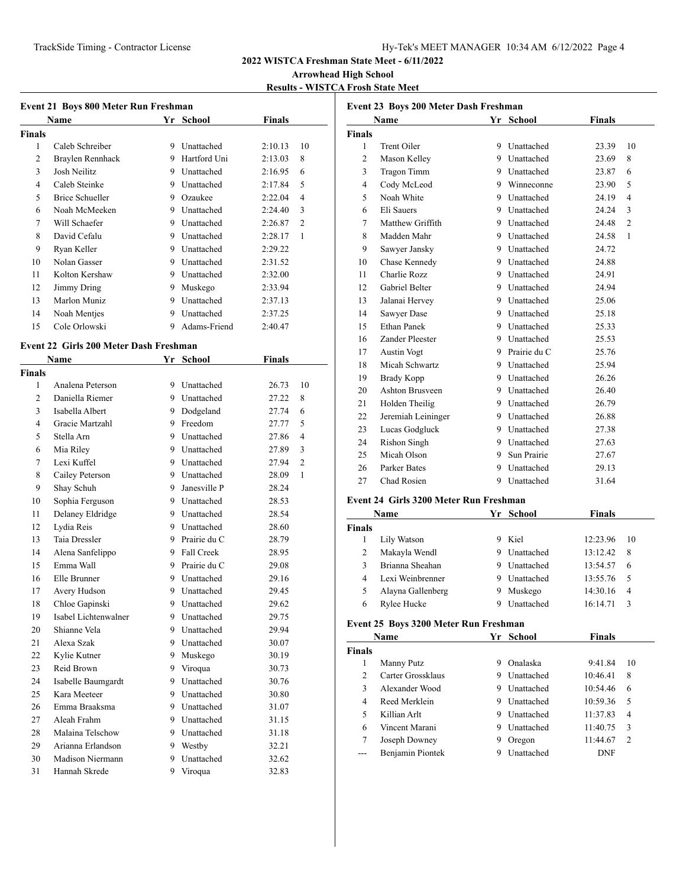## **Arrowhead High School**

**Results - WISTCA Frosh State Meet**

#### **Event 21 Boys 800 Meter Run Freshman**

|        | <b>Name</b>      |   | Yr School    | <b>Finals</b> |                |
|--------|------------------|---|--------------|---------------|----------------|
| Finals |                  |   |              |               |                |
| 1      | Caleb Schreiber  | 9 | Unattached   | 2:10.13       | 10             |
| 2      | Braylen Rennhack | 9 | Hartford Uni | 2:13.03       | 8              |
| 3      | Josh Neilitz     | 9 | Unattached   | 2:16.95       | 6              |
| 4      | Caleb Steinke    | 9 | Unattached   | 2:17.84       | 5              |
| 5      | Brice Schueller  | 9 | Ozaukee      | 2:22.04       | 4              |
| 6      | Noah McMeeken    | 9 | Unattached   | 2:24.40       | 3              |
| 7      | Will Schaefer    | 9 | Unattached   | 2:26.87       | $\overline{2}$ |
| 8      | David Cefalu     | 9 | Unattached   | 2:28.17       | 1              |
| 9      | Ryan Keller      | 9 | Unattached   | 2:29.22       |                |
| 10     | Nolan Gasser     | 9 | Unattached   | 2:31.52       |                |
| 11     | Kolton Kershaw   | 9 | Unattached   | 2:32.00       |                |
| 12     | Jimmy Dring      | 9 | Muskego      | 2:33.94       |                |
| 13     | Marlon Muniz     | 9 | Unattached   | 2:37.13       |                |
| 14     | Noah Mentjes     | 9 | Unattached   | 2:37.25       |                |
| 15     | Cole Orlowski    | 9 | Adams-Friend | 2:40.47       |                |

#### **Event 22 Girls 200 Meter Dash Freshman**

|                | <b>Name</b>          | Yr | <b>School</b> | <b>Finals</b> |                |  |
|----------------|----------------------|----|---------------|---------------|----------------|--|
| Finals         |                      |    |               |               |                |  |
| 1              | Analena Peterson     | 9  | Unattached    | 26.73         | 10             |  |
| $\overline{2}$ | Daniella Riemer      | 9  | Unattached    | 27.22         | 8              |  |
| 3              | Isabella Albert      | 9  | Dodgeland     | 27.74         | 6              |  |
| 4              | Gracie Martzahl      | 9  | Freedom       | 27.77         | 5              |  |
| 5              | Stella Arn           | 9  | Unattached    | 27.86         | $\overline{4}$ |  |
| 6              | Mia Riley            | 9  | Unattached    | 27.89         | 3              |  |
| 7              | Lexi Kuffel          | 9  | Unattached    | 27.94         | $\overline{c}$ |  |
| 8              | Cailey Peterson      | 9  | Unattached    | 28.09         | 1              |  |
| 9              | Shay Schuh           | 9  | Janesville P  | 28.24         |                |  |
| 10             | Sophia Ferguson      | 9  | Unattached    | 28.53         |                |  |
| 11             | Delaney Eldridge     | 9  | Unattached    | 28.54         |                |  |
| 12             | Lydia Reis           | 9  | Unattached    | 28.60         |                |  |
| 13             | Taia Dressler        | 9  | Prairie du C  | 28.79         |                |  |
| 14             | Alena Sanfelippo     | 9  | Fall Creek    | 28.95         |                |  |
| 15             | Emma Wall            | 9  | Prairie du C  | 29.08         |                |  |
| 16             | Elle Brunner         | 9  | Unattached    | 29.16         |                |  |
| 17             | Avery Hudson         | 9  | Unattached    | 29.45         |                |  |
| 18             | Chloe Gapinski       | 9  | Unattached    | 29.62         |                |  |
| 19             | Isabel Lichtenwalner | 9  | Unattached    | 29.75         |                |  |
| 20             | Shianne Vela         | 9  | Unattached    | 29.94         |                |  |
| 21             | Alexa Szak           | 9  | Unattached    | 30.07         |                |  |
| 22             | Kylie Kutner         | 9  | Muskego       | 30.19         |                |  |
| 23             | Reid Brown           | 9  | Viroqua       | 30.73         |                |  |
| 24             | Isabelle Baumgardt   | 9  | Unattached    | 30.76         |                |  |
| 25             | Kara Meeteer         | 9  | Unattached    | 30.80         |                |  |
| 26             | Emma Braaksma        | 9  | Unattached    | 31.07         |                |  |
| 27             | Aleah Frahm          | 9  | Unattached    | 31.15         |                |  |
| 28             | Malaina Telschow     | 9  | Unattached    | 31.18         |                |  |
| 29             | Arianna Erlandson    | 9  | Westby        | 32.21         |                |  |
| 30             | Madison Niermann     | 9  | Unattached    | 32.62         |                |  |
| 31             | Hannah Skrede        | 9  | Viroqua       | 32.83         |                |  |
|                |                      |    |               |               |                |  |

|                | Name               |    | Yr School      | <b>Finals</b> |                |
|----------------|--------------------|----|----------------|---------------|----------------|
| <b>Finals</b>  |                    |    |                |               |                |
| 1              | Trent Oiler        | 9  | Unattached     | 23.39         | 10             |
| $\overline{c}$ | Mason Kelley       |    | 9 Unattached   | 23.69         | 8              |
| 3              | <b>Tragon Timm</b> |    | 9 Unattached   | 23.87         | 6              |
| 4              | Cody McLeod        |    | 9 Winneconne   | 23.90         | 5              |
| 5              | Noah White         |    | 9 Unattached   | 24.19         | $\overline{4}$ |
| 6              | Eli Sauers         |    | 9 Unattached   | 24.24         | 3              |
| 7              | Matthew Griffith   |    | 9 Unattached   | 24.48         | $\overline{2}$ |
| 8              | Madden Mahr        |    | 9 Unattached   | 24.58         | 1              |
| 9              | Sawyer Jansky      |    | 9 Unattached   | 24.72         |                |
| 10             | Chase Kennedy      |    | 9 Unattached   | 24.88         |                |
| 11             | Charlie Rozz       |    | 9 Unattached   | 24.91         |                |
| 12             | Gabriel Belter     |    | 9 Unattached   | 24.94         |                |
| 13             | Jalanai Hervey     |    | 9 Unattached   | 25.06         |                |
| 14             | Sawyer Dase        |    | 9 Unattached   | 25.18         |                |
| 15             | <b>Ethan Panek</b> |    | 9 Unattached   | 25.33         |                |
| 16             | Zander Pleester    |    | 9 Unattached   | 25.53         |                |
| 17             | <b>Austin Vogt</b> |    | 9 Prairie du C | 25.76         |                |
| 18             | Micah Schwartz     |    | 9 Unattached   | 25.94         |                |
| 19             | Brady Kopp         |    | 9 Unattached   | 26.26         |                |
| 20             | Ashton Brusveen    |    | 9 Unattached   | 26.40         |                |
| 21             | Holden Theilig     |    | 9 Unattached   | 26.79         |                |
| 22             | Jeremiah Leininger |    | 9 Unattached   | 26.88         |                |
| 23             | Lucas Godgluck     |    | 9 Unattached   | 27.38         |                |
| 24             | Rishon Singh       |    | 9 Unattached   | 27.63         |                |
| 25             | Micah Olson        | 9. | Sun Prairie    | 27.67         |                |
| 26             | Parker Bates       |    | 9 Unattached   | 29.13         |                |
| 27             | Chad Rosien        | 9  | Unattached     | 31.64         |                |

#### **Event 24 Girls 3200 Meter Run Freshman**

| Name          |                   | Yr | School            | <b>Finals</b> |      |
|---------------|-------------------|----|-------------------|---------------|------|
| <b>Finals</b> |                   |    |                   |               |      |
|               | Lily Watson       |    | Kiel              | 12:23.96      | - 10 |
|               | Makayla Wendl     |    | Unattached        | 13:12.42      | 8    |
| 3             | Brianna Sheahan   | 9  | Unattached        | 13:54.57      | 6    |
| 4             | Lexi Weinbrenner  |    | Unattached        | 13:55.76      | -5   |
| 5             | Alayna Gallenberg | 9  | Muskego           | 14:30.16      | 4    |
| 6             | Rylee Hucke       |    | <b>Unattached</b> | 16:14.71      | 3    |

## **Event 25 Boys 3200 Meter Run Freshman**

| Name          |                   | Yr | School            | <b>Finals</b> |                |
|---------------|-------------------|----|-------------------|---------------|----------------|
| <b>Finals</b> |                   |    |                   |               |                |
|               | Manny Putz        | 9  | Onalaska          | 9:41.84       | 10             |
| $\mathcal{L}$ | Carter Grossklaus | 9  | <b>Unattached</b> | 10:46.41      | 8              |
| 3             | Alexander Wood    | 9  | <b>Unattached</b> | 10:54.46      | 6              |
| 4             | Reed Merklein     | 9  | <b>Unattached</b> | 10:59.36      | .5             |
| 5             | Killian Arlt      | 9  | Unattached        | 11:37.83      | $\overline{4}$ |
| 6             | Vincent Marani    | 9  | <b>Unattached</b> | 11:40.75      | 3              |
| 7             | Joseph Downey     |    | Oregon            | 11:44.67      | $\mathcal{D}$  |
| ---           | Benjamin Piontek  |    | Unattached        | DNF           |                |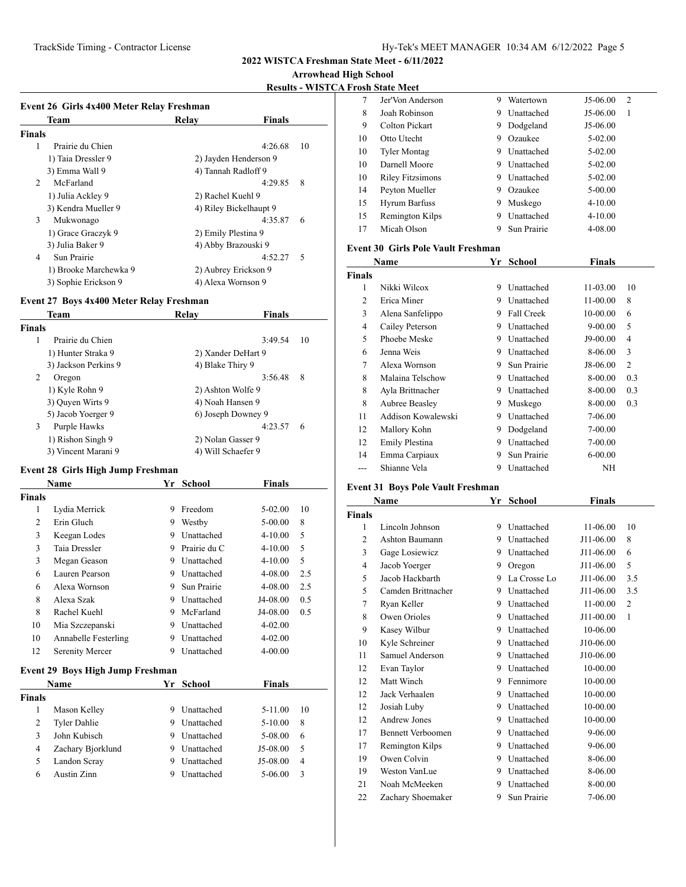**Arrowhead High School**

**Results - WISTCA Frosh State Meet**

|                | Team                  | Relay                  | <b>Finals</b> |    |
|----------------|-----------------------|------------------------|---------------|----|
| <b>Finals</b>  |                       |                        |               |    |
| 1              | Prairie du Chien      |                        | 4:26.68       | 10 |
|                | 1) Taia Dressler 9    | 2) Jayden Henderson 9  |               |    |
|                | 3) Emma Wall 9        | 4) Tannah Radloff 9    |               |    |
| $\mathfrak{D}$ | McFarland             |                        | 4:29.85       | 8  |
|                | 1) Julia Ackley 9     | 2) Rachel Kuehl 9      |               |    |
|                | 3) Kendra Mueller 9   | 4) Riley Bickelhaupt 9 |               |    |
| 3              | Mukwonago             |                        | 4:35.87       | 6  |
|                | 1) Grace Graczyk 9    | 2) Emily Plestina 9    |               |    |
|                | 3) Julia Baker 9      | 4) Abby Brazouski 9    |               |    |
| $\overline{4}$ | Sun Prairie           |                        | 4:52.27       | .5 |
|                | 1) Brooke Marchewka 9 | 2) Aubrey Erickson 9   |               |    |
|                | 3) Sophie Erickson 9  | 4) Alexa Wornson 9     |               |    |

## **Event 27 Boys 4x400 Meter Relay Freshman**

| Team                  | Relav              | <b>Finals</b> |    |
|-----------------------|--------------------|---------------|----|
| <b>Finals</b>         |                    |               |    |
| Prairie du Chien<br>1 |                    | 3:49.54       | 10 |
| 1) Hunter Straka 9    | 2) Xander DeHart 9 |               |    |
| 3) Jackson Perkins 9  | 4) Blake Thiry 9   |               |    |
| 2<br>Oregon           |                    | 8<br>3:56.48  |    |
| 1) Kyle Rohn 9        | 2) Ashton Wolfe 9  |               |    |
| 3) Quyen Wirts 9      | 4) Noah Hansen 9   |               |    |
| 5) Jacob Yoerger 9    | 6) Joseph Downey 9 |               |    |
| 3<br>Purple Hawks     |                    | 4:23.57<br>6  |    |
| 1) Rishon Singh 9     | 2) Nolan Gasser 9  |               |    |
| 3) Vincent Marani 9   | 4) Will Schaefer 9 |               |    |
|                       |                    |               |    |

## **Event 28 Girls High Jump Freshman**

|                | Name                                    | Yr | <b>School</b>     | <b>Finals</b> |     |
|----------------|-----------------------------------------|----|-------------------|---------------|-----|
| <b>Finals</b>  |                                         |    |                   |               |     |
| 1              | Lydia Merrick                           | 9  | Freedom           | $5-02.00$     | 10  |
| $\overline{2}$ | Erin Gluch                              | 9  | Westby            | $5 - 00.00$   | 8   |
| 3              | Keegan Lodes                            | 9  | <b>Unattached</b> | $4 - 10.00$   | 5   |
| 3              | <b>Taia Dressler</b>                    | 9  | Prairie du C      | $4 - 10.00$   | 5   |
| 3              | Megan Geason                            | 9  | Unattached        | $4 - 10.00$   | 5   |
| 6              | Lauren Pearson                          | 9  | <b>Unattached</b> | 4-08.00       | 2.5 |
| 6              | Alexa Wornson                           | 9  | Sun Prairie       | 4-08.00       | 2.5 |
| 8              | Alexa Szak                              | 9  | <b>Unattached</b> | J4-08.00      | 0.5 |
| 8              | Rachel Kuehl                            | 9  | McFarland         | J4-08.00      | 0.5 |
| 10             | Mia Szczepanski                         | 9  | <b>Unattached</b> | $4 - 02.00$   |     |
| 10             | Annabelle Festerling                    | 9  | Unattached        | $4 - 02.00$   |     |
| 12             | <b>Serenity Mercer</b>                  | 9  | Unattached        | $4 - 00.00$   |     |
|                | <b>Event 29 Boys High Jump Freshman</b> |    |                   |               |     |
|                | <b>Name</b>                             | Yr | <b>School</b>     | <b>Finals</b> |     |
| <b>Finals</b>  |                                         |    |                   |               |     |
| 1              | Mason Kelley                            | 9  | <b>Unattached</b> | $5-11.00$     | 10  |
| $\overline{2}$ | Tyler Dahlie                            | 9  | Unattached        | $5 - 10.00$   | 8   |
| 3              | John Kubisch                            | 9  | Unattached        | 5-08.00       | 6   |
| $\overline{4}$ | Zachary Bjorklund                       | 9  | Unattached        | J5-08.00      | 5   |
| 5              | Landon Scray                            | 9  | Unattached        | J5-08.00      | 4   |
| 6              | Austin Zinn                             | 9  | Unattached        | $5 - 06.00$   | 3   |
|                |                                         |    |                   |               |     |

| 7  | Jer'Von Anderson        | 9 | Watertown         | J5-06.00    | 2 |
|----|-------------------------|---|-------------------|-------------|---|
| 8  | Joah Robinson           | 9 | Unattached        | J5-06.00    | 1 |
| 9  | Colton Pickart          | 9 | Dodgeland         | J5-06.00    |   |
| 10 | Otto Utecht             | 9 | Ozaukee           | $5-02.00$   |   |
| 10 | <b>Tyler Montag</b>     | 9 | Unattached        | $5-02.00$   |   |
| 10 | Darnell Moore           | 9 | <b>Unattached</b> | $5-02.00$   |   |
| 10 | <b>Riley Fitzsimons</b> | 9 | Unattached        | $5-02.00$   |   |
| 14 | Peyton Mueller          | 9 | Ozaukee           | 5-00.00     |   |
| 15 | <b>Hyrum Barfuss</b>    | 9 | Muskego           | $4 - 10.00$ |   |
| 15 | Remington Kilps         | 9 | Unattached        | $4 - 10.00$ |   |
| 17 | Micah Olson             |   | Sun Prairie       | 4-08.00     |   |
|    |                         |   |                   |             |   |

#### **Event 30 Girls Pole Vault Freshman**

| Name          |                    |   | School      | <b>Finals</b> |                |
|---------------|--------------------|---|-------------|---------------|----------------|
| <b>Finals</b> |                    |   |             |               |                |
| 1             | Nikki Wilcox       | 9 | Unattached  | 11-03.00      | 10             |
| 2             | Erica Miner        | 9 | Unattached  | 11-00.00      | 8              |
| 3             | Alena Sanfelippo   | 9 | Fall Creek  | 10-00.00      | 6              |
| 4             | Cailey Peterson    | 9 | Unattached  | $9 - 00.00$   | 5              |
| 5             | Phoebe Meske       | 9 | Unattached  | J9-00.00      | 4              |
| 6             | Jenna Weis         | 9 | Unattached  | 8-06.00       | 3              |
| 7             | Alexa Wornson      | 9 | Sun Prairie | J8-06.00      | $\overline{2}$ |
| 8             | Malaina Telschow   | 9 | Unattached  | 8-00.00       | 0.3            |
| 8             | Ayla Brittnacher   | 9 | Unattached  | 8-00.00       | 0.3            |
| 8             | Aubree Beasley     | 9 | Muskego     | 8-00.00       | 0.3            |
| 11            | Addison Kowalewski | 9 | Unattached  | 7-06.00       |                |
| 12            | Mallory Kohn       | 9 | Dodgeland   | 7-00.00       |                |
| 12            | Emily Plestina     | 9 | Unattached  | 7-00.00       |                |
| 14            | Emma Carpiaux      | 9 | Sun Prairie | $6 - 00.00$   |                |
| ---           | Shianne Vela       | 9 | Unattached  | ΝH            |                |

## **Event 31 Boys Pole Vault Freshman**

|               | <b>Name</b>              | Yr | <b>School</b> | Finals    |                |  |
|---------------|--------------------------|----|---------------|-----------|----------------|--|
| <b>Finals</b> |                          |    |               |           |                |  |
| 1             | Lincoln Johnson          | 9  | Unattached    | 11-06.00  | 10             |  |
| 2             | Ashton Baumann           | 9  | Unattached    | J11-06.00 | 8              |  |
| 3             | Gage Losiewicz           | 9  | Unattached    | J11-06.00 | 6              |  |
| 4             | Jacob Yoerger            | 9  | Oregon        | J11-06.00 | 5              |  |
| 5             | Jacob Hackbarth          | 9  | La Crosse Lo  | J11-06.00 | 3.5            |  |
| 5             | Camden Brittnacher       | 9  | Unattached    | J11-06.00 | 3.5            |  |
| 7             | Ryan Keller              | 9  | Unattached    | 11-00.00  | $\overline{2}$ |  |
| 8             | Owen Orioles             | 9  | Unattached    | J11-00.00 | 1              |  |
| 9             | Kasey Wilbur             | 9  | Unattached    | 10-06.00  |                |  |
| 10            | Kyle Schreiner           | 9  | Unattached    | J10-06.00 |                |  |
| 11            | Samuel Anderson          | 9  | Unattached    | J10-06.00 |                |  |
| 12            | Evan Taylor              | 9  | Unattached    | 10-00.00  |                |  |
| 12            | Matt Winch               | 9  | Fennimore     | 10-00.00  |                |  |
| 12            | Jack Verhaalen           | 9  | Unattached    | 10-00.00  |                |  |
| 12            | Josiah Luby              | 9  | Unattached    | 10-00.00  |                |  |
| 12            | Andrew Jones             | 9  | Unattached    | 10-00.00  |                |  |
| 17            | <b>Bennett Verboomen</b> | 9  | Unattached    | 9-06.00   |                |  |
| 17            | Remington Kilps          | 9  | Unattached    | 9-06.00   |                |  |
| 19            | Owen Colvin              | 9  | Unattached    | 8-06.00   |                |  |
| 19            | Weston VanLue            | 9  | Unattached    | 8-06.00   |                |  |
| 21            | Noah McMeeken            | 9  | Unattached    | 8-00.00   |                |  |
| 22            | Zachary Shoemaker        | 9  | Sun Prairie   | 7-06.00   |                |  |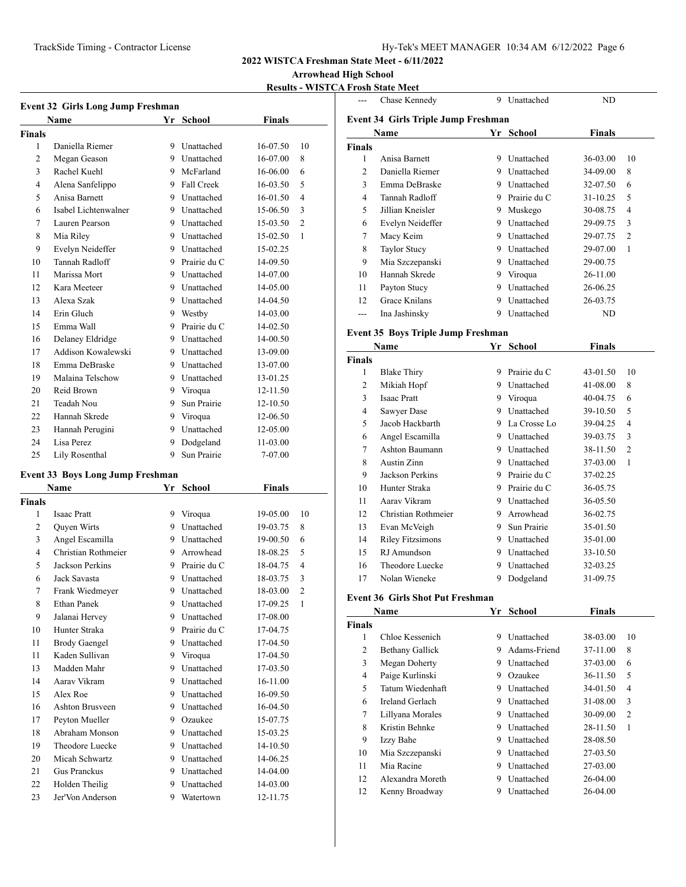## **Arrowhead High School**

# **Results - WISTCA Frosh State Meet**

| <b>Event 32 Girls Long Jump Freshman</b> |                      |    |                   |               |                |  |
|------------------------------------------|----------------------|----|-------------------|---------------|----------------|--|
|                                          | Name                 |    | Yr School         | <b>Finals</b> |                |  |
| <b>Finals</b>                            |                      |    |                   |               |                |  |
| 1                                        | Daniella Riemer      | 9  | Unattached        | 16-07.50      | 10             |  |
| $\overline{2}$                           | Megan Geason         | 9  | <b>Unattached</b> | $16-07.00$    | 8              |  |
| 3                                        | Rachel Kuehl         |    | 9 McFarland       | 16-06.00      | 6              |  |
| $\overline{4}$                           | Alena Sanfelippo     | 9  | Fall Creek        | $16 - 03.50$  | 5              |  |
| 5                                        | Anisa Barnett        | 9. | <b>Unattached</b> | $16-01.50$    | $\overline{4}$ |  |
| 6                                        | Isabel Lichtenwalner |    | 9 Unattached      | 15-06.50      | 3              |  |
| 7                                        | Lauren Pearson       | 9  | Unattached        | 15-03.50      | $\overline{c}$ |  |
| 8                                        | Mia Riley            |    | 9 Unattached      | 15-02.50      | 1              |  |
| 9                                        | Evelyn Neideffer     |    | 9 Unattached      | 15-02.25      |                |  |
| 10                                       | Tannah Radloff       | 9  | Prairie du C      | 14-09.50      |                |  |
| 11                                       | Marissa Mort         | 9  | Unattached        | 14-07.00      |                |  |
| 12                                       | Kara Meeteer         |    | 9 Unattached      | 14-05.00      |                |  |
| 13                                       | Alexa Szak           | 9  | Unattached        | 14-04.50      |                |  |
| 14                                       | Erin Gluch           |    | 9 Westby          | 14-03.00      |                |  |
| 15                                       | Emma Wall            | 9  | Prairie du C      | 14-02.50      |                |  |
| 16                                       | Delaney Eldridge     | 9  | Unattached        | 14-00.50      |                |  |
| 17                                       | Addison Kowalewski   |    | 9 Unattached      | 13-09.00      |                |  |
| 18                                       | Emma DeBraske        |    | 9 Unattached      | 13-07.00      |                |  |
| 19                                       | Malaina Telschow     | 9  | Unattached        | 13-01.25      |                |  |
| 20                                       | Reid Brown           | 9  | Viroqua           | 12-11.50      |                |  |
| 21                                       | Teadah Nou           | 9. | Sun Prairie       | 12-10.50      |                |  |
| 22                                       | Hannah Skrede        | 9  | Viroqua           | 12-06.50      |                |  |
| 23                                       | Hannah Perugini      | 9  | Unattached        | 12-05.00      |                |  |
| 24                                       | Lisa Perez           | 9  | Dodgeland         | 11-03.00      |                |  |
| 25                                       | Lily Rosenthal       | 9  | Sun Prairie       | 7-07.00       |                |  |

## **Event 33 Boys Long Jump Freshman**

| Name           |                      |   | School       | Finals   |                |
|----------------|----------------------|---|--------------|----------|----------------|
| <b>Finals</b>  |                      |   |              |          |                |
| 1              | <b>Isaac Pratt</b>   | 9 | Viroqua      | 19-05.00 | 10             |
| $\overline{2}$ | <b>Ouven Wirts</b>   | 9 | Unattached   | 19-03.75 | 8              |
| 3              | Angel Escamilla      | 9 | Unattached   | 19-00.50 | 6              |
| 4              | Christian Rothmeier  | 9 | Arrowhead    | 18-08.25 | 5              |
| 5              | Jackson Perkins      | 9 | Prairie du C | 18-04.75 | 4              |
| 6              | Jack Savasta         | 9 | Unattached   | 18-03.75 | 3              |
| 7              | Frank Wiedmeyer      | 9 | Unattached   | 18-03.00 | $\overline{2}$ |
| 8              | Ethan Panek          | 9 | Unattached   | 17-09.25 | 1              |
| 9              | Jalanai Hervey       | 9 | Unattached   | 17-08.00 |                |
| 10             | Hunter Straka        | 9 | Prairie du C | 17-04.75 |                |
| 11             | <b>Brody Gaengel</b> | 9 | Unattached   | 17-04.50 |                |
| 11             | Kaden Sullivan       | 9 | Viroqua      | 17-04.50 |                |
| 13             | Madden Mahr          | 9 | Unattached   | 17-03.50 |                |
| 14             | Aarav Vikram         | 9 | Unattached   | 16-11.00 |                |
| 15             | Alex Roe             | 9 | Unattached   | 16-09.50 |                |
| 16             | Ashton Brusveen      | 9 | Unattached   | 16-04.50 |                |
| 17             | Peyton Mueller       | 9 | Ozaukee      | 15-07.75 |                |
| 18             | Abraham Monson       | 9 | Unattached   | 15-03.25 |                |
| 19             | Theodore Luecke      | 9 | Unattached   | 14-10.50 |                |
| 20             | Micah Schwartz       | 9 | Unattached   | 14-06.25 |                |
| 21             | <b>Gus Pranckus</b>  | 9 | Unattached   | 14-04.00 |                |
| 22             | Holden Theilig       | 9 | Unattached   | 14-03.00 |                |
| 23             | Jer'Von Anderson     | 9 | Watertown    | 12-11.75 |                |

| ---            | Chase Kennedy                               | 9  | Unattached     | ND            |                |  |  |  |  |
|----------------|---------------------------------------------|----|----------------|---------------|----------------|--|--|--|--|
|                |                                             |    |                |               |                |  |  |  |  |
|                | Event 34 Girls Triple Jump Freshman<br>Name |    | Yr School      | <b>Finals</b> |                |  |  |  |  |
| <b>Finals</b>  |                                             |    |                |               |                |  |  |  |  |
| $\mathbf{1}$   | Anisa Barnett                               |    | 9 Unattached   | 36-03.00      | 10             |  |  |  |  |
| $\overline{2}$ | Daniella Riemer                             |    | 9 Unattached   | 34-09.00      | 8              |  |  |  |  |
| 3              | Emma DeBraske                               |    | 9 Unattached   | 32-07.50      | 6              |  |  |  |  |
| $\overline{4}$ | Tannah Radloff                              |    | 9 Prairie du C | 31-10.25      | 5              |  |  |  |  |
| 5              | Jillian Kneisler                            |    | 9 Muskego      | 30-08.75      | $\overline{4}$ |  |  |  |  |
| 6              | Evelyn Neideffer                            |    | 9 Unattached   | 29-09.75      | 3              |  |  |  |  |
| 7              | Macy Keim                                   |    | 9 Unattached   | 29-07.75      | $\mathfrak{D}$ |  |  |  |  |
| 8              | <b>Taylor Stucy</b>                         |    | 9 Unattached   | 29-07.00      | $\mathbf{1}$   |  |  |  |  |
| 9              | Mia Szczepanski                             |    | 9 Unattached   | 29-00.75      |                |  |  |  |  |
| 10             | Hannah Skrede                               |    | 9 Viroqua      | 26-11.00      |                |  |  |  |  |
| 11             | Payton Stucy                                |    | 9 Unattached   | 26-06.25      |                |  |  |  |  |
| 12             | <b>Grace Knilans</b>                        |    | 9 Unattached   | 26-03.75      |                |  |  |  |  |
| ---            | Ina Jashinsky                               |    | 9 Unattached   | ND            |                |  |  |  |  |
|                |                                             |    |                |               |                |  |  |  |  |
|                | <b>Event 35 Boys Triple Jump Freshman</b>   |    |                |               |                |  |  |  |  |
|                | Name                                        |    | Yr School      | Finals        |                |  |  |  |  |
| <b>Finals</b>  |                                             |    |                |               |                |  |  |  |  |
| $\mathbf{1}$   | <b>Blake Thiry</b>                          |    | 9 Prairie du C | 43-01.50      | 10             |  |  |  |  |
| 2              | Mikiah Hopf                                 |    | 9 Unattached   | 41-08.00      | 8              |  |  |  |  |
| 3              | Isaac Pratt                                 |    | 9 Viroqua      | 40-04.75      | 6              |  |  |  |  |
| 4              | Sawyer Dase                                 |    | 9 Unattached   | 39-10.50      | 5              |  |  |  |  |
| 5              | Jacob Hackbarth                             |    | 9 La Crosse Lo | 39-04.25      | 4              |  |  |  |  |
| 6              | Angel Escamilla                             |    | 9 Unattached   | 39-03.75      | 3              |  |  |  |  |
| $\tau$         | Ashton Baumann                              |    | 9 Unattached   | 38-11.50      | $\overline{c}$ |  |  |  |  |
| 8              | Austin Zinn                                 |    | 9 Unattached   | 37-03.00      | 1              |  |  |  |  |
| 9              | <b>Jackson Perkins</b>                      |    | 9 Prairie du C | 37-02.25      |                |  |  |  |  |
| 10             | Hunter Straka                               |    | 9 Prairie du C | 36-05.75      |                |  |  |  |  |
| 11             | Aarav Vikram                                |    | 9 Unattached   | 36-05.50      |                |  |  |  |  |
| 12             | Christian Rothmeier                         |    | 9 Arrowhead    | 36-02.75      |                |  |  |  |  |
| 13             | Evan McVeigh                                |    | 9 Sun Prairie  | 35-01.50      |                |  |  |  |  |
| 14             | <b>Riley Fitzsimons</b>                     |    | 9 Unattached   | 35-01.00      |                |  |  |  |  |
| 15             | RJ Amundson                                 |    | 9 Unattached   | 33-10.50      |                |  |  |  |  |
| 16             | Theodore Luecke                             |    | 9 Unattached   | 32-03.25      |                |  |  |  |  |
| 17             | Nolan Wieneke                               | 9  | Dodgeland      | 31-09.75      |                |  |  |  |  |
|                | <b>Event 36 Girls Shot Put Freshman</b>     |    |                |               |                |  |  |  |  |
|                | Name                                        | Yr | School         | Finals        |                |  |  |  |  |
| <b>Finals</b>  |                                             |    |                |               |                |  |  |  |  |
| 1              | Chloe Kessenich                             |    | 9 Unattached   | 38-03.00      | 10             |  |  |  |  |
| 2              | Bethany Gallick                             | 9  | Adams-Friend   | 37-11.00      | 8              |  |  |  |  |

| ∠  | Demany Gamer     | 7 | Aualiis-Fitchu | <i>31</i> -11.00 | $\circ$        |
|----|------------------|---|----------------|------------------|----------------|
| 3  | Megan Doherty    | 9 | Unattached     | 37-03.00         | 6              |
| 4  | Paige Kurlinski  | 9 | Ozaukee        | 36-11.50         | 5              |
| 5  | Tatum Wiedenhaft | 9 | Unattached     | 34-01.50         | 4              |
| 6  | Ireland Gerlach  | 9 | Unattached     | 31-08.00         | 3              |
| 7  | Lillyana Morales | 9 | Unattached     | 30-09.00         | $\overline{c}$ |
| 8  | Kristin Behnke   | 9 | Unattached     | 28-11.50         | 1              |
| 9  | Izzy Bahe        | 9 | Unattached     | 28-08.50         |                |
| 10 | Mia Szczepanski  | 9 | Unattached     | 27-03.50         |                |
| 11 | Mia Racine       | 9 | Unattached     | 27-03.00         |                |
| 12 | Alexandra Moreth | 9 | Unattached     | 26-04.00         |                |
| 12 | Kenny Broadway   | 9 | Unattached     | 26-04.00         |                |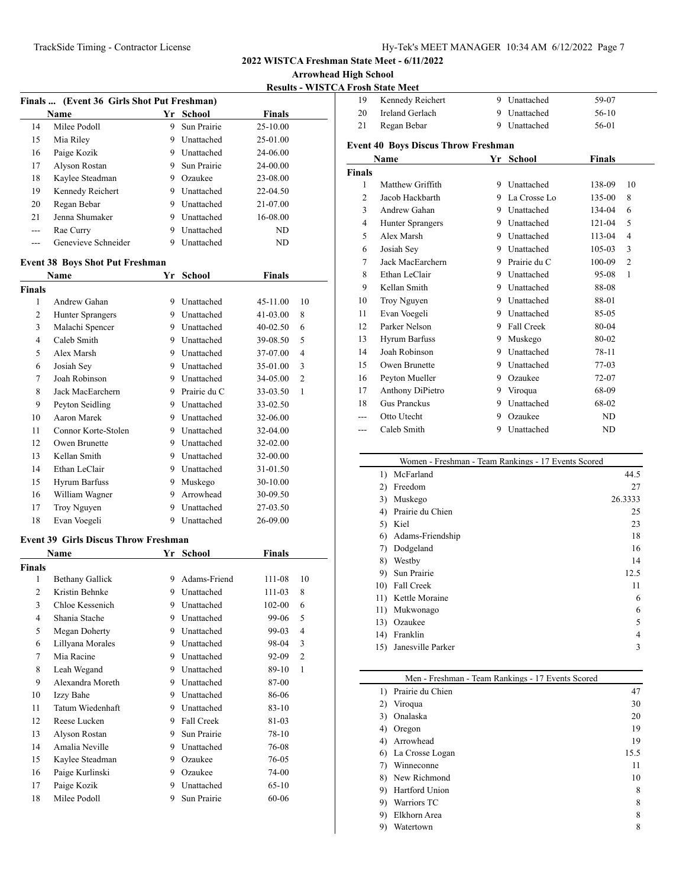**Arrowhead High School**

**Results - WISTCA Frosh State Meet**

| Finals  (Event 36 Girls Shot Put Freshman) |                                             |    |                |               |                |  |
|--------------------------------------------|---------------------------------------------|----|----------------|---------------|----------------|--|
|                                            | Name                                        | Yr | <b>School</b>  | Finals        |                |  |
| 14                                         | Milee Podoll                                | 9. | Sun Prairie    | 25-10.00      |                |  |
| 15                                         | Mia Riley                                   |    | 9 Unattached   | 25-01.00      |                |  |
| 16                                         | Paige Kozik                                 |    | 9 Unattached   | 24-06.00      |                |  |
| 17                                         | Alyson Rostan                               |    | 9 Sun Prairie  | 24-00.00      |                |  |
| 18                                         | Kaylee Steadman                             |    | 9 Ozaukee      | 23-08.00      |                |  |
| 19                                         | Kennedy Reichert                            |    | 9 Unattached   | 22-04.50      |                |  |
| 20                                         | Regan Bebar                                 |    | 9 Unattached   | 21-07.00      |                |  |
| 21                                         | Jenna Shumaker                              |    | 9 Unattached   | 16-08.00      |                |  |
| $---$                                      | Rae Curry                                   |    | 9 Unattached   | ND            |                |  |
| ---                                        | Genevieve Schneider                         |    | 9 Unattached   | ND            |                |  |
|                                            | <b>Event 38 Boys Shot Put Freshman</b>      |    |                |               |                |  |
|                                            | Name                                        | Yr | <b>School</b>  | Finals        |                |  |
| <b>Finals</b>                              |                                             |    |                |               |                |  |
| 1                                          | Andrew Gahan                                |    | 9 Unattached   | 45-11.00      | 10             |  |
| 2                                          | <b>Hunter Sprangers</b>                     |    | 9 Unattached   | 41-03.00      | 8              |  |
| 3                                          | Malachi Spencer                             |    | 9 Unattached   | 40-02.50      | 6              |  |
| $\overline{4}$                             | Caleb Smith                                 |    | 9 Unattached   | 39-08.50      | 5              |  |
| 5                                          | Alex Marsh                                  |    | 9 Unattached   | 37-07.00      | 4              |  |
| 6                                          | Josiah Sey                                  |    | 9 Unattached   | 35-01.00      | 3              |  |
| 7                                          | Joah Robinson                               |    | 9 Unattached   | 34-05.00      | $\overline{c}$ |  |
| 8                                          | Jack MacEarchern                            |    | 9 Prairie du C | 33-03.50      | 1              |  |
| 9                                          | Peyton Seidling                             |    | 9 Unattached   | 33-02.50      |                |  |
| 10                                         | <b>Aaron Marek</b>                          |    | 9 Unattached   | 32-06.00      |                |  |
| 11                                         | Connor Korte-Stolen                         |    | 9 Unattached   | 32-04.00      |                |  |
| 12                                         | Owen Brunette                               |    | 9 Unattached   | 32-02.00      |                |  |
| 13                                         | Kellan Smith                                |    | 9 Unattached   | 32-00.00      |                |  |
| 14                                         | Ethan LeClair                               |    | 9 Unattached   | 31-01.50      |                |  |
| 15                                         | Hyrum Barfuss                               |    | 9 Muskego      | 30-10.00      |                |  |
| 16                                         | William Wagner                              |    | 9 Arrowhead    | 30-09.50      |                |  |
| 17                                         | Troy Nguyen                                 |    | 9 Unattached   | 27-03.50      |                |  |
| 18                                         | Evan Voegeli                                |    | 9 Unattached   | 26-09.00      |                |  |
|                                            | <b>Event 39 Girls Discus Throw Freshman</b> |    |                |               |                |  |
|                                            | Name                                        |    | Yr School      | <b>Finals</b> |                |  |
| <b>Finals</b>                              |                                             |    |                |               |                |  |
| 1                                          | <b>Bethany Gallick</b>                      | 9  | Adams-Friend   | 111-08        | 10             |  |
| $\overline{2}$                             | Kristin Behnke                              | 9  | Unattached     | 111-03        | 8              |  |
| 3                                          | Chloe Kessenich                             | 9  | Unattached     | 102-00        | 6              |  |
| 4                                          | Shania Stache                               |    | 9 Unattached   | 99-06         | 5              |  |
| 5                                          | Megan Doherty                               |    | 9 Unattached   | 99-03         | 4              |  |
| 6                                          | Lillyana Morales                            |    | 9 Unattached   | 98-04         | 3              |  |
| $\tau$                                     | Mia Racine                                  | 9  | Unattached     | 92-09         | 2              |  |
| 8                                          | Leah Wegand                                 | 9  | Unattached     | 89-10         | $\mathbf{1}$   |  |
| 9                                          | Alexandra Moreth                            | 9  | Unattached     | 87-00         |                |  |
| 10                                         | Izzy Bahe                                   | 9  | Unattached     | 86-06         |                |  |
| 11                                         | Tatum Wiedenhaft                            | 9  | Unattached     | 83-10         |                |  |
| 12                                         | Reese Lucken                                | 9  | Fall Creek     | 81-03         |                |  |
| 13                                         | Alyson Rostan                               | 9  | Sun Prairie    | 78-10         |                |  |
| 14                                         | Amalia Neville                              |    | 9 Unattached   | 76-08         |                |  |
| 15                                         | Kaylee Steadman                             |    | 9 Ozaukee      | 76-05         |                |  |
| 16                                         | Paige Kurlinski                             |    | 9 Ozaukee      | 74-00         |                |  |
| 17                                         | Paige Kozik                                 |    | 9 Unattached   | $65 - 10$     |                |  |
| 18                                         | Milee Podoll                                | 9  | Sun Prairie    | 60-06         |                |  |
|                                            |                                             |    |                |               |                |  |

| 19                                         | Kennedy Reichert     |    | 9 Unattached   | 59-07         |                |  |  |  |  |
|--------------------------------------------|----------------------|----|----------------|---------------|----------------|--|--|--|--|
| 20                                         | Ireland Gerlach      |    | 9 Unattached   | 56-10         |                |  |  |  |  |
| 21                                         | Regan Bebar          | 9  | Unattached     | 56-01         |                |  |  |  |  |
| <b>Event 40 Boys Discus Throw Freshman</b> |                      |    |                |               |                |  |  |  |  |
|                                            | Name                 |    | Yr School      | <b>Finals</b> |                |  |  |  |  |
| <b>Finals</b>                              |                      |    |                |               |                |  |  |  |  |
| 1                                          | Matthew Griffith     | 9  | Unattached     | 138-09        | 10             |  |  |  |  |
| 2                                          | Jacob Hackbarth      |    | 9 La Crosse Lo | 135-00        | 8              |  |  |  |  |
| 3                                          | Andrew Gahan         |    | 9 Unattached   | 134-04        | 6              |  |  |  |  |
| 4                                          | Hunter Sprangers     |    | 9 Unattached   | 121-04        | 5              |  |  |  |  |
| 5                                          | Alex Marsh           |    | 9 Unattached   | 113-04        | 4              |  |  |  |  |
| 6                                          | Josiah Sey           |    | 9 Unattached   | $105 - 03$    | 3              |  |  |  |  |
| 7                                          | Jack MacEarchern     |    | 9 Prairie du C | 100-09        | $\overline{2}$ |  |  |  |  |
| 8                                          | Ethan LeClair        |    | 9 Unattached   | 95-08         | 1              |  |  |  |  |
| 9                                          | Kellan Smith         |    | 9 Unattached   | 88-08         |                |  |  |  |  |
| 10                                         | Troy Nguyen          |    | 9 Unattached   | 88-01         |                |  |  |  |  |
| 11                                         | Evan Voegeli         |    | 9 Unattached   | 85-05         |                |  |  |  |  |
| 12                                         | Parker Nelson        |    | 9 Fall Creek   | 80-04         |                |  |  |  |  |
| 13                                         | <b>Hyrum Barfuss</b> | 9  | Muskego        | 80-02         |                |  |  |  |  |
| 14                                         | Joah Robinson        |    | 9 Unattached   | 78-11         |                |  |  |  |  |
| 15                                         | Owen Brunette        | 9. | Unattached     | 77-03         |                |  |  |  |  |
| 16                                         | Peyton Mueller       | 9. | Ozaukee        | $72 - 07$     |                |  |  |  |  |
| 17                                         | Anthony DiPietro     |    | 9 Viroqua      | 68-09         |                |  |  |  |  |
| 18                                         | Gus Pranckus         | 9  | Unattached     | 68-02         |                |  |  |  |  |
|                                            | Otto Utecht          | 9  | Ozaukee        | ND            |                |  |  |  |  |
| ---                                        | Caleb Smith          | 9  | Unattached     | ND            |                |  |  |  |  |
|                                            |                      |    |                |               |                |  |  |  |  |

|     | Women - Freshman - Team Rankings - 17 Events Scored |         |
|-----|-----------------------------------------------------|---------|
| 1)  | McFarland                                           | 44.5    |
| 2)  | Freedom                                             | 27      |
| 3)  | Muskego                                             | 26.3333 |
| 4)  | Prairie du Chien                                    | 25      |
| 5)  | Kiel                                                | 23      |
| 6)  | Adams-Friendship                                    | 18      |
| 7)  | Dodgeland                                           | 16      |
| 8)  | Westby                                              | 14      |
| 9)  | Sun Prairie                                         | 12.5    |
| 10) | Fall Creek                                          | 11      |
|     | 11) Kettle Moraine                                  | 6       |
| 11) | Mukwonago                                           | 6       |
| 13) | Ozaukee                                             | 5       |
| 14) | Franklin                                            | 4       |
| 15) | Janesville Parker                                   | 3       |
|     |                                                     |         |

|    | Men - Freshman - Team Rankings - 17 Events Scored |      |
|----|---------------------------------------------------|------|
| 1) | Prairie du Chien                                  | 47   |
| 2) | Viroqua                                           | 30   |
| 3) | Onalaska                                          | 20   |
| 4) | Oregon                                            | 19   |
| 4) | Arrowhead                                         | 19   |
|    | 6) La Crosse Logan                                | 15.5 |
| 7) | Winneconne                                        | 11   |
|    | 8) New Richmond                                   | 10   |
| 9) | Hartford Union                                    | 8    |
| 9) | Warriors TC                                       | 8    |
| 9) | Elkhorn Area                                      | 8    |
| 9) | Watertown                                         | 8    |